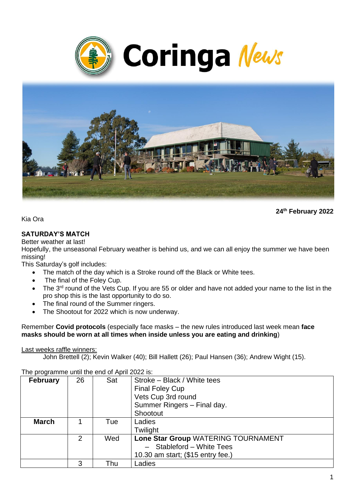



**24th February 2022**

Kia Ora

# **SATURDAY'S MATCH**

Better weather at last!

Hopefully, the unseasonal February weather is behind us, and we can all enjoy the summer we have been missing!

This Saturday's golf includes:

- The match of the day which is a Stroke round off the Black or White tees.
- The final of the Foley Cup.
- The  $3<sup>rd</sup>$  round of the Vets Cup. If you are 55 or older and have not added your name to the list in the pro shop this is the last opportunity to do so.
- The final round of the Summer ringers.
- The Shootout for 2022 which is now underway.

Remember **Covid protocols** (especially face masks – the new rules introduced last week mean **face masks should be worn at all times when inside unless you are eating and drinking**)

#### Last weeks raffle winners:

John Brettell (2); Kevin Walker (40); Bill Hallett (26); Paul Hansen (36); Andrew Wight (15).

| <b>February</b> | 26             | Sat | Stroke - Black / White tees         |
|-----------------|----------------|-----|-------------------------------------|
|                 |                |     | <b>Final Foley Cup</b>              |
|                 |                |     | Vets Cup 3rd round                  |
|                 |                |     | Summer Ringers - Final day.         |
|                 |                |     | Shootout                            |
| <b>March</b>    |                | Tue | Ladies                              |
|                 |                |     | Twilight                            |
|                 | $\overline{2}$ | Wed | Lone Star Group WATERING TOURNAMENT |
|                 |                |     | Stableford - White Tees             |
|                 |                |     | 10.30 am start; (\$15 entry fee.)   |
|                 | 3              | Thu | Ladies                              |

The programme until the end of April 2022 is: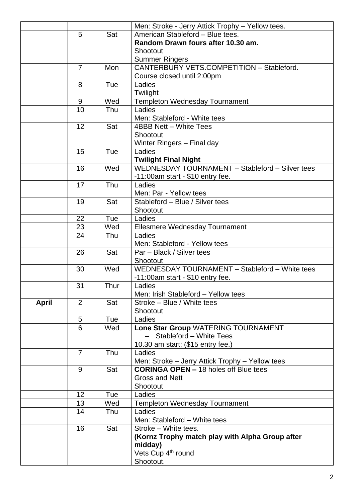|       |                 |      | Men: Stroke - Jerry Attick Trophy - Yellow tees. |
|-------|-----------------|------|--------------------------------------------------|
|       | 5               | Sat  | American Stableford - Blue tees.                 |
|       |                 |      | Random Drawn fours after 10.30 am.               |
|       |                 |      | Shootout                                         |
|       |                 |      | <b>Summer Ringers</b>                            |
|       | $\overline{7}$  | Mon  | CANTERBURY VETS.COMPETITION - Stableford.        |
|       |                 |      | Course closed until 2:00pm                       |
|       | 8               | Tue  | Ladies                                           |
|       |                 |      | Twilight                                         |
|       | 9               | Wed  | <b>Templeton Wednesday Tournament</b>            |
|       | 10              | Thu  | Ladies                                           |
|       |                 |      | Men: Stableford - White tees                     |
|       | 12              | Sat  | 4BBB Nett - White Tees                           |
|       |                 |      | Shootout                                         |
|       |                 |      | Winter Ringers - Final day                       |
|       | 15              | Tue  | Ladies                                           |
|       |                 |      | <b>Twilight Final Night</b>                      |
|       | 16              | Wed  | WEDNESDAY TOURNAMENT - Stableford - Silver tees  |
|       |                 |      | $-11:00$ am start - \$10 entry fee.              |
|       | 17              | Thu  | Ladies                                           |
|       |                 |      | Men: Par - Yellow tees                           |
|       | 19              | Sat  | Stableford - Blue / Silver tees                  |
|       |                 |      | Shootout                                         |
|       | 22              | Tue  | Ladies                                           |
|       | 23              | Wed  | Ellesmere Wednesday Tournament                   |
|       | 24              | Thu  | Ladies                                           |
|       |                 |      | Men: Stableford - Yellow tees                    |
|       | 26              | Sat  | Par - Black / Silver tees                        |
|       |                 |      | Shootout                                         |
|       | 30              | Wed  | WEDNESDAY TOURNAMENT - Stableford - White tees   |
|       |                 |      | -11:00am start - \$10 entry fee.                 |
|       | 31              | Thur | Ladies                                           |
|       |                 |      | Men: Irish Stableford - Yellow tees              |
| April | 2               | Sat  | Stroke - Blue / White tees                       |
|       |                 |      | Shootout                                         |
|       | 5               | Tue  | Ladies                                           |
|       | 6               | Wed  | Lone Star Group WATERING TOURNAMENT              |
|       |                 |      | Stableford - White Tees                          |
|       |                 |      | 10.30 am start; (\$15 entry fee.)                |
|       | $\overline{7}$  | Thu  | Ladies                                           |
|       |                 |      | Men: Stroke - Jerry Attick Trophy - Yellow tees  |
|       | 9               | Sat  | <b>CORINGA OPEN – 18 holes off Blue tees</b>     |
|       |                 |      | <b>Gross and Nett</b>                            |
|       |                 |      | Shootout                                         |
|       | 12 <sub>2</sub> | Tue  | Ladies                                           |
|       | 13              | Wed  | <b>Templeton Wednesday Tournament</b>            |
|       | 14              | Thu  | Ladies                                           |
|       |                 |      | Men: Stableford - White tees                     |
|       | 16              | Sat  | Stroke - White tees.                             |
|       |                 |      | (Kornz Trophy match play with Alpha Group after  |
|       |                 |      | midday)                                          |
|       |                 |      | Vets Cup 4 <sup>th</sup> round                   |
|       |                 |      | Shootout.                                        |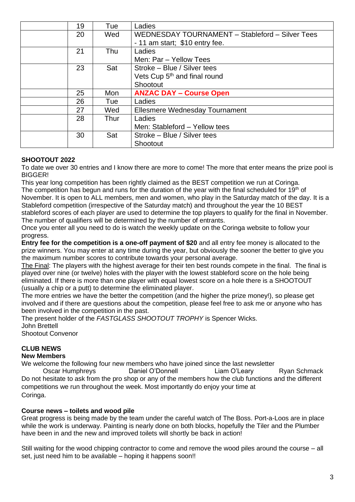| 19 | Tue  | Ladies                                          |
|----|------|-------------------------------------------------|
| 20 | Wed  | WEDNESDAY TOURNAMENT - Stableford - Silver Tees |
|    |      | - 11 am start; \$10 entry fee.                  |
| 21 | Thu  | Ladies                                          |
|    |      | Men: Par - Yellow Tees                          |
| 23 | Sat  | Stroke – Blue / Silver tees                     |
|    |      | Vets Cup 5 <sup>th</sup> and final round        |
|    |      | Shootout                                        |
| 25 | Mon  | <b>ANZAC DAY - Course Open</b>                  |
| 26 | Tue  | Ladies                                          |
| 27 | Wed  | Ellesmere Wednesday Tournament                  |
| 28 | Thur | Ladies                                          |
|    |      | Men: Stableford - Yellow tees                   |
| 30 | Sat  | Stroke – Blue / Silver tees                     |
|    |      | Shootout                                        |

#### **SHOOTOUT 2022**

To date we over 30 entries and I know there are more to come! The more that enter means the prize pool is BIGGER!

This year long competition has been rightly claimed as the BEST competition we run at Coringa. The competition has begun and runs for the duration of the year with the final scheduled for 19<sup>th</sup> of November. It is open to ALL members, men and women, who play in the Saturday match of the day. It is a Stableford competition (irrespective of the Saturday match) and throughout the year the 10 BEST stableford scores of each player are used to determine the top players to qualify for the final in November. The number of qualifiers will be determined by the number of entrants.

Once you enter all you need to do is watch the weekly update on the Coringa website to follow your progress.

**Entry fee for the competition is a one-off payment of \$20** and all entry fee money is allocated to the prize winners. You may enter at any time during the year, but obviously the sooner the better to give you the maximum number scores to contribute towards your personal average.

The Final: The players with the highest average for their ten best rounds compete in the final. The final is played over nine (or twelve) holes with the player with the lowest stableford score on the hole being eliminated. If there is more than one player with equal lowest score on a hole there is a SHOOTOUT (usually a chip or a putt) to determine the eliminated player.

The more entries we have the better the competition (and the higher the prize money!), so please get involved and if there are questions about the competition, please feel free to ask me or anyone who has been involved in the competition in the past.

The present holder of the *FASTGLASS SHOOTOUT TROPHY* is Spencer Wicks.

John Brettell

Shootout Convenor

# **CLUB NEWS**

#### **New Members**

We welcome the following four new members who have joined since the last newsletter

Oscar Humphreys **Daniel O'Donnell** Liam O'Leary Ryan Schmack Do not hesitate to ask from the pro shop or any of the members how the club functions and the different competitions we run throughout the week. Most importantly do enjoy your time at Coringa.

#### **Course news – toilets and wood pile**

Great progress is being made by the team under the careful watch of The Boss. Port-a-Loos are in place while the work is underway. Painting is nearly done on both blocks, hopefully the Tiler and the Plumber have been in and the new and improved toilets will shortly be back in action!

Still waiting for the wood chipping contractor to come and remove the wood piles around the course – all set, just need him to be available – hoping it happens soon!!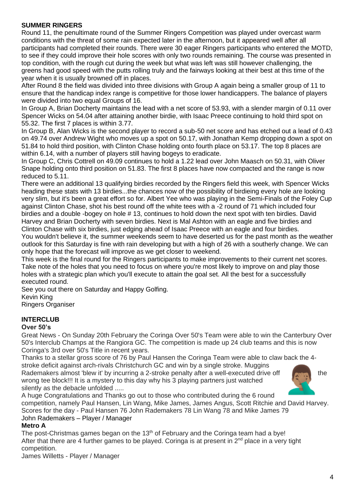#### **SUMMER RINGERS**

Round 11, the penultimate round of the Summer Ringers Competition was played under overcast warm conditions with the threat of some rain expected later in the afternoon, but it appeared well after all participants had completed their rounds. There were 30 eager Ringers participants who entered the MOTD, to see if they could improve their hole scores with only two rounds remaining. The course was presented in top condition, with the rough cut during the week but what was left was still however challenging, the greens had good speed with the putts rolling truly and the fairways looking at their best at this time of the year when it is usually browned off in places.

After Round 8 the field was divided into three divisions with Group A again being a smaller group of 11 to ensure that the handicap index range is competitive for those lower handicappers. The balance of players were divided into two equal Groups of 16.

In Group A, Brian Docherty maintains the lead with a net score of 53.93, with a slender margin of 0.11 over Spencer Wicks on 54.04 after attaining another birdie, with Isaac Preece continuing to hold third spot on 55.32. The first 7 places is within 3.77.

In Group B, Alan Wicks is the second player to record a sub-50 net score and has etched out a lead of 0.43 on 49.74 over Andrew Wight who moves up a spot on 50.17, with Jonathan Kemp dropping down a spot on 51.84 to hold third position, with Clinton Chase holding onto fourth place on 53.17. The top 8 places are within 6.14, with a number of players still having bogeys to eradicate.

In Group C, Chris Cottrell on 49.09 continues to hold a 1.22 lead over John Maasch on 50.31, with Oliver Snape holding onto third position on 51.83. The first 8 places have now compacted and the range is now reduced to 5.11.

There were an additional 13 qualifying birdies recorded by the Ringers field this week, with Spencer Wicks heading these stats with 13 birdies...the chances now of the possibility of birdieing every hole are looking very slim, but it's been a great effort so for. Albert Yee who was playing in the Semi-Finals of the Foley Cup against Clinton Chase, shot his best round off the white tees with a -2 round of 71 which included four birdies and a double -bogey on hole # 13, continues to hold down the next spot with ten birdies. David Harvey and Brian Docherty with seven birdies. Next is Mal Ashton with an eagle and five birdies and Clinton Chase with six birdies, just edging ahead of Isaac Preece with an eagle and four birdies. You wouldn't believe it, the summer weekends seem to have deserted us for the past month as the weather outlook for this Saturday is fine with rain developing but with a high of 26 with a southerly change. We can only hope that the forecast will improve as we get closer to weekend.

This week is the final round for the Ringers participants to make improvements to their current net scores. Take note of the holes that you need to focus on where you're most likely to improve on and play those holes with a strategic plan which you'll execute to attain the goal set. All the best for a successfully executed round.

See you out there on Saturday and Happy Golfing.

Kevin King

Ringers Organiser

# **INTERCLUB**

#### **Over 50's**

Great News - On Sunday 20th February the Coringa Over 50's Team were able to win the Canterbury Over 50's Interclub Champs at the Rangiora GC. The competition is made up 24 club teams and this is now Coringa's 3rd over 50's Title in recent years.

Thanks to a stellar gross score of 76 by Paul Hansen the Coringa Team were able to claw back the 4 stroke deficit against arch-rivals Christchurch GC and win by a single stroke. Muggins

Rademakers almost 'blew it' by incurring a 2-stroke penalty after a well-executed drive off the the wrong tee block!!! It is a mystery to this day why his 3 playing partners just watched silently as the debacle unfolded .....



A huge Congratulations and Thanks go out to those who contributed during the 6 round competition, namely Paul Hansen, Lin Wang, Mike James, James Angus, Scott Ritchie and David Harvey.

Scores for the day - Paul Hansen 76 John Rademakers 78 Lin Wang 78 and Mike James 79 John Rademakers – Player / Manager

#### **Metro A**

The post-Christmas games began on the  $13<sup>th</sup>$  of February and the Coringa team had a bye! After that there are 4 further games to be played. Coringa is at present in  $2^{nd}$  place in a very tight competition.

James Willetts - Player / Manager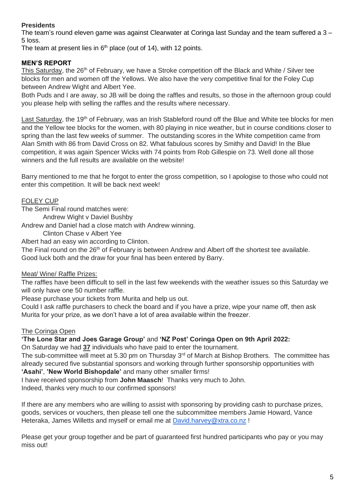# **Presidents**

The team's round eleven game was against Clearwater at Coringa last Sunday and the team suffered a 3 – 5 loss.

The team at present lies in  $6<sup>th</sup>$  place (out of 14), with 12 points.

# **MEN'S REPORT**

This Saturday, the 26<sup>th</sup> of February, we have a Stroke competition off the Black and White / Silver tee blocks for men and women off the Yellows. We also have the very competitive final for the Foley Cup between Andrew Wight and Albert Yee.

Both Puds and I are away, so JB will be doing the raffles and results, so those in the afternoon group could you please help with selling the raffles and the results where necessary.

Last Saturday, the 19<sup>th</sup> of February, was an Irish Stableford round off the Blue and White tee blocks for men and the Yellow tee blocks for the women, with 80 playing in nice weather, but in course conditions closer to spring than the last few weeks of summer. The outstanding scores in the White competition came from Alan Smith with 86 from David Cross on 82. What fabulous scores by Smithy and David! In the Blue competition, it was again Spencer Wicks with 74 points from Rob Gillespie on 73. Well done all those winners and the full results are available on the website!

Barry mentioned to me that he forgot to enter the gross competition, so I apologise to those who could not enter this competition. It will be back next week!

# FOLEY CUP

The Semi Final round matches were:

Andrew Wight v Daviel Bushby

Andrew and Daniel had a close match with Andrew winning.

Clinton Chase v Albert Yee

Albert had an easy win according to Clinton.

The Final round on the 26<sup>th</sup> of February is between Andrew and Albert off the shortest tee available. Good luck both and the draw for your final has been entered by Barry.

# Meat/ Wine/ Raffle Prizes:

The raffles have been difficult to sell in the last few weekends with the weather issues so this Saturday we will only have one 50 number raffle.

Please purchase your tickets from Murita and help us out.

Could I ask raffle purchasers to check the board and if you have a prize, wipe your name off, then ask Murita for your prize, as we don't have a lot of area available within the freezer.

# The Coringa Open

**'The Lone Star and Joes Garage Group'** and **'NZ Post' Coringa Open on 9th April 2022:**

On Saturday we had **37** individuals who have paid to enter the tournament.

The sub-committee will meet at 5.30 pm on Thursday 3<sup>rd</sup> of March at Bishop Brothers. The committee has already secured five substantial sponsors and working through further sponsorship opportunities with **'Asahi'**, **'New World Bishopdale'** and many other smaller firms!

I have received sponsorship from **John Maasch**! Thanks very much to John.

Indeed, thanks very much to our confirmed sponsors!

If there are any members who are willing to assist with sponsoring by providing cash to purchase prizes, goods, services or vouchers, then please tell one the subcommittee members Jamie Howard, Vance Heteraka, James Willetts and myself or email me at [David.harvey@xtra.co.nz](mailto:David.harvey@xtra.co.nz) !

Please get your group together and be part of guaranteed first hundred participants who pay or you may miss out!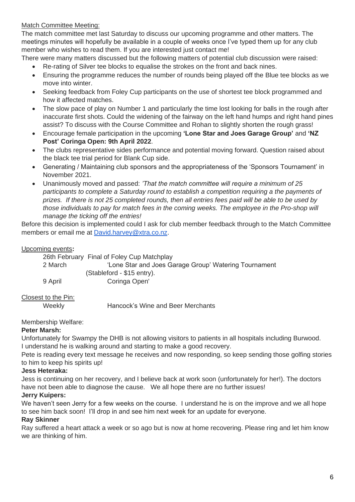# Match Committee Meeting:

The match committee met last Saturday to discuss our upcoming programme and other matters. The meetings minutes will hopefully be available in a couple of weeks once I've typed them up for any club member who wishes to read them. If you are interested just contact me!

There were many matters discussed but the following matters of potential club discussion were raised:

- Re-rating of Silver tee blocks to equalise the strokes on the front and back nines.
- Ensuring the programme reduces the number of rounds being played off the Blue tee blocks as we move into winter.
- Seeking feedback from Foley Cup participants on the use of shortest tee block programmed and how it affected matches.
- The slow pace of play on Number 1 and particularly the time lost looking for balls in the rough after inaccurate first shots. Could the widening of the fairway on the left hand humps and right hand pines assist? To discuss with the Course Committee and Rohan to slightly shorten the rough grass!
- Encourage female participation in the upcoming **'Lone Star and Joes Garage Group'** and **'NZ Post' Coringa Open: 9th April 2022**.
- The clubs representative sides performance and potential moving forward. Question raised about the black tee trial period for Blank Cup side.
- Generating / Maintaining club sponsors and the appropriateness of the 'Sponsors Tournament' in November 2021.
- Unanimously moved and passed: *'That the match committee will require a minimum of 25 participants to complete a Saturday round to establish a competition requiring a the payments of prizes. If there is not 25 completed rounds, then all entries fees paid will be able to be used by those individuals to pay for match fees in the coming weeks. The employee in the Pro-shop will manage the ticking off the entries!*

Before this decision is implemented could I ask for club member feedback through to the Match Committee members or email me at [David.harvey@xtra.co.nz.](mailto:David.harvey@xtra.co.nz)

#### Upcoming events**:**

26th February Final of Foley Cup Matchplay 2 March 'Lone Star and Joes Garage Group' Watering Tournament (Stableford - \$15 entry). 9 April Coringa Open'

# Closest to the Pin:

Weekly **Hancock's Wine and Beer Merchants** 

Membership Welfare:

# **Peter Marsh:**

Unfortunately for Swampy the DHB is not allowing visitors to patients in all hospitals including Burwood. I understand he is walking around and starting to make a good recovery.

Pete is reading every text message he receives and now responding, so keep sending those golfing stories to him to keep his spirits up!

# **Jess Heteraka:**

Jess is continuing on her recovery, and I believe back at work soon (unfortunately for her!). The doctors have not been able to diagnose the cause. We all hope there are no further issues!

# **Jerry Kuipers:**

We haven't seen Jerry for a few weeks on the course. I understand he is on the improve and we all hope to see him back soon! I'll drop in and see him next week for an update for everyone.

#### **Ray Skinner**

Ray suffered a heart attack a week or so ago but is now at home recovering. Please ring and let him know we are thinking of him.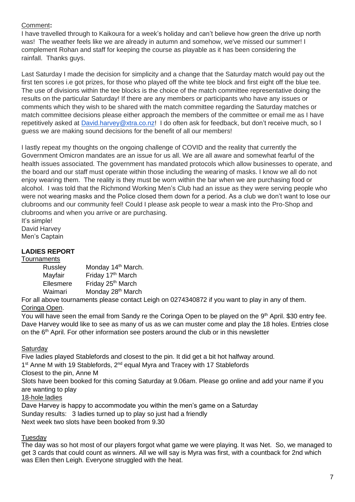# Comment**:**

I have travelled through to Kaikoura for a week's holiday and can't believe how green the drive up north was! The weather feels like we are already in autumn and somehow, we've missed our summer! I complement Rohan and staff for keeping the course as playable as it has been considering the rainfall. Thanks guys.

Last Saturday I made the decision for simplicity and a change that the Saturday match would pay out the first ten scores i.e got prizes, for those who played off the white tee block and first eight off the blue tee. The use of divisions within the tee blocks is the choice of the match committee representative doing the results on the particular Saturday! If there are any members or participants who have any issues or comments which they wish to be shared with the match committee regarding the Saturday matches or match committee decisions please either approach the members of the committee or email me as I have repetitively asked at [David.harvey@xtra.co.nz!](mailto:David.harvey@xtra.co.nz) I do often ask for feedback, but don't receive much, so I guess we are making sound decisions for the benefit of all our members!

I lastly repeat my thoughts on the ongoing challenge of COVID and the reality that currently the Government Omicron mandates are an issue for us all. We are all aware and somewhat fearful of the health issues associated. The government has mandated protocols which allow businesses to operate, and the board and our staff must operate within those including the wearing of masks. I know we all do not enjoy wearing them. The reality is they must be worn within the bar when we are purchasing food or alcohol. I was told that the Richmond Working Men's Club had an issue as they were serving people who were not wearing masks and the Police closed them down for a period. As a club we don't want to lose our clubrooms and our community feel! Could I please ask people to wear a mask into the Pro-Shop and clubrooms and when you arrive or are purchasing.

It's simple! David Harvey Men's Captain

# **LADIES REPORT**

#### **Tournaments**

| Russley   | Monday 14 <sup>th</sup> March. |
|-----------|--------------------------------|
| Mayfair   | Friday 17th March              |
| Ellesmere | Friday 25 <sup>th</sup> March  |
| Waimari   | Monday 28 <sup>th</sup> March  |

For all above tournaments please contact Leigh on 0274340872 if you want to play in any of them. Coringa Open.

You will have seen the email from Sandy re the Coringa Open to be played on the 9<sup>th</sup> April. \$30 entry fee. Dave Harvey would like to see as many of us as we can muster come and play the 18 holes. Entries close on the 6<sup>th</sup> April. For other information see posters around the club or in this newsletter

# **Saturday**

Five ladies played Stablefords and closest to the pin. It did get a bit hot halfway around.

1<sup>st</sup> Anne M with 19 Stablefords, 2<sup>nd</sup> equal Myra and Tracey with 17 Stablefords

Closest to the pin, Anne M

Slots have been booked for this coming Saturday at 9.06am. Please go online and add your name if you are wanting to play

# 18-hole ladies

Dave Harvey is happy to accommodate you within the men's game on a Saturday Sunday results: 3 ladies turned up to play so just had a friendly Next week two slots have been booked from 9.30

# **Tuesdav**

The day was so hot most of our players forgot what game we were playing. It was Net. So, we managed to get 3 cards that could count as winners. All we will say is Myra was first, with a countback for 2nd which was Ellen then Leigh. Everyone struggled with the heat.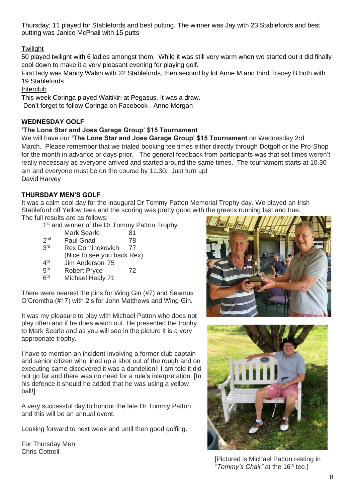Thursday; 11 played for Stablefords and best putting. The winner was Jay with 23 Stablefords and best putting was Janice McPhail with 15 putts

# **Twilight**

50 played twilight with 6 ladies amongst them. While it was still very warm when we started out it did finally cool down to make it a very pleasant evening for playing golf.

First lady was Mandy Walsh with 22 Stablefords, then second by lot Anne M and third Tracey B both with 19 Stablefords

Interclub

This week Coringa played Waitikiri at Pegasus. It was a draw. Don't forget to follow Coringa on Facebook - Anne Morgan

# **WEDNESDAY GOLF**

#### **'The Lone Star and Joes Garage Group' \$15 Tournament**

We will have our **'The Lone Star and Joes Garage Group' \$15 Tournament** on Wednesday 2rd March. Please remember that we trialed booking tee times either directly through Dotgolf or the Pro-Shop for the month in advance or days prior. The general feedback from participants was that set times weren't really necessary as everyone arrived and started around the same times. The tournament starts at 10.30 am and everyone must be on the course by 11.30. Just turn up! David Harvey

# **THURSDAY MEN'S GOLF**

It was a calm cool day for the inaugural Dr Tommy Patton Memorial Trophy day. We played an Irish Stableford off Yellow tees and the scoring was pretty good with the greens running fast and true. The full results are as follows:

1<sup>st</sup> and winner of the Dr Tommy Patton Trophy

- Mark Searle 81
- $2<sub>nd</sub>$ Paul Gnad 78 3rd Rex Dominokovich 77
- (Nice to see you back Rex)
- $4<sup>th</sup>$ Jim Anderson 75
- $5<sup>th</sup>$ Robert Pryce 72
- $6<sup>th</sup>$ Michael Healy 71

There were nearest the pins for Wing Gin (#7) and Seamus O'Cromtha (#17) with 2's for John Matthews and Wing Gin.

It was my pleasure to play with Michael Patton who does not play often and if he does watch out. He presented the trophy to Mark Searle and as you will see in the picture it is a very appropriate trophy.

I have to mention an incident involving a former club captain and senior citizen who lined up a shot out of the rough and on executing same discovered it was a dandelion!! I am told it did not go far and there was no need for a rule's interpretation. [In his defence it should he added that he was using a yellow ball!]

A very successful day to honour the late Dr Tommy Patton and this will be an annual event.

Looking forward to next week and until then good golfing.

For Thursday Men Chris Cottrell





[Pictured is Michael Patton resting in "Tommy's Chair" at the 16<sup>th</sup> tee.]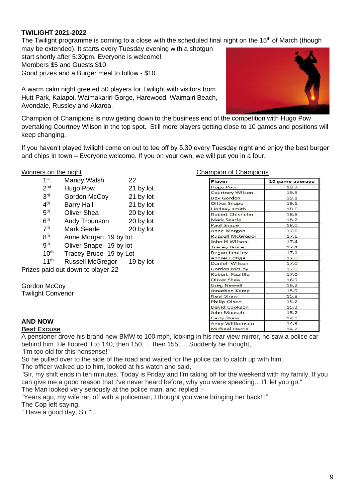#### **TWILIGHT 2021-2022**

The Twilight programme is coming to a close with the scheduled final night on the 15<sup>th</sup> of March (though may be extended). It starts every Tuesday evening with a shotgun

start shortly after 5:30pm. Everyone is welcome! Members \$5 and Guests \$10 Good prizes and a Burger meal to follow - \$10

A warm calm night greeted 50 players for Twilight with visitors from Hutt Park, Kaiapoi, Waimakariri Gorge, Harewood, Waimairi Beach, Avondale, Russley and Akaroa.



Champion of Champions is now getting down to the business end of the competition with Hugo Pow overtaking Courtney Wilson in the top spot. Still more players getting close to 10 games and positions will keep changing.

If you haven't played twilight come on out to tee off by 5.30 every Tuesday night and enjoy the best burger and chips in town – Everyone welcome. If you on your own, we will put you in a four.

| 1 <sup>st</sup>  | Mandy Walsh                       | 22        |
|------------------|-----------------------------------|-----------|
| 2 <sub>nd</sub>  | Hugo Pow                          | 21 by lot |
| 3 <sup>rd</sup>  | Gordon McCoy                      | 21 by lot |
| 4 <sup>th</sup>  | <b>Barry Hall</b>                 | 21 by lot |
| 5 <sup>th</sup>  | <b>Oliver Shea</b>                | 20 by lot |
| 6 <sup>th</sup>  | Andy Trounson                     | 20 by lot |
| 7 <sup>th</sup>  | <b>Mark Searle</b>                | 20 by lot |
| $R^{th}$         | Anne Morgan 19 by lot             |           |
| 9 <sup>th</sup>  | Oliver Snape 19 by lot            |           |
| 10 <sup>th</sup> | Tracey Bruce 19 by Lot            |           |
| 11 <sup>th</sup> | Russell McGregor                  | 19 by lot |
|                  | Prizes paid out down to player 22 |           |

Gordon McCov Twilight Convenor

#### Winners on the night Champion of Champions Champions

| Player                  | 10 game average |
|-------------------------|-----------------|
| <b>Hugo Pow</b>         | 19.7            |
| <b>Courtney Wilson</b>  | 19.5            |
| <b>Bev Gordon</b>       | 19.1            |
| Oliver Snape            | 19.1            |
| Lindsay smith           | 18.6            |
| <b>Robert Chisholm</b>  | 18.6            |
| Mark Searle             | 18.2            |
| Paul Snape              | 18.0            |
| Anne Morgan             | 17.6            |
| <b>Russell McGregor</b> | 17.6            |
| John H Wilson           | 17.4            |
| <b>Tracey Bruce</b>     | 17.4            |
| Regan bentley           | 17.1            |
| Andrei Cotiga           | 17.0            |
| Daniel Wilson           | 17.0            |
| Gordon McCoy            | 17.0            |
| Robert Faalilio         | 17.0            |
| Oliver Shea             | 16.9            |
| <b>Greg Newell</b>      | 16.2            |
| Jonathan Kemp           | 15.9            |
| Neal Shaw               | 15.8            |
| Philip Olsen            | 15.7            |
| David Cookson           | 15.3            |
| John Maasch             | 15.2            |
| Carly Shaw              | 14.5            |
| Andy Williamson         | 14.3            |
| <b>Michael Harris</b>   | 14.2            |

#### **AND NOW**

#### **Best Excuse**

A pensioner drove his brand new BMW to 100 mph, looking in his rear view mirror, he saw a police car behind him. He floored it to 140, then 150, ... then 155, ... Suddenly he thought,

"I'm too old for this nonsense!"

So he pulled over to the side of the road and waited for the police car to catch up with him.

The officer walked up to him, looked at his watch and said,

"Sir, my shift ends in ten minutes. Today is Friday and I'm taking off for the weekend with my family. If you can give me a good reason that I've never heard before, why you were speeding... I'll let you go." The Man looked very seriously at the police man, and replied :-

"Years ago, my wife ran off with a policeman, I thought you were bringing her back!!!"

The Cop left saying,

" Have a good day, Sir "...